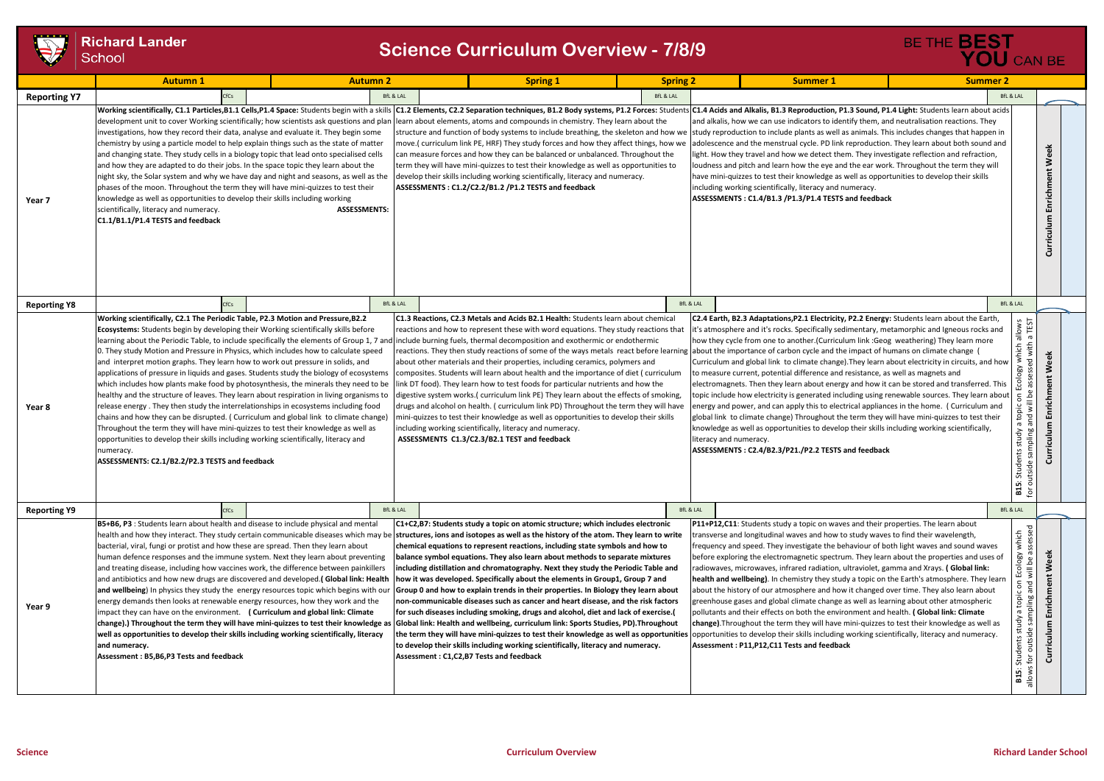

| <b>TEST</b>         | <b>Richard Lander</b><br>School                                                                                                                                                                                                                                                                                                                                                                                                                                                                                                                                                                                                                                                                                                                                                                                                                                                                                                                                                                                                                                                                                                                                                                                                    |                     | <b>Science Curriculum Overview - 7/8/9</b>                                                                                                                                                                                                                                                                                                                                                                                                                                                                                                                                                                                                                                                                                                                                                                                                                                                                                                                                                            |                 |                      |                                                                                                                                                                                                                                                                                                                                                                                                                                                                                                                                                                                                                                                                                                                                                                                                                                                                                                                                                                                                                                                                                                                                                                                                                                         | BE THE <b>BEST</b><br>YOU CAN BE                                                                                                                                                                           |  |
|---------------------|------------------------------------------------------------------------------------------------------------------------------------------------------------------------------------------------------------------------------------------------------------------------------------------------------------------------------------------------------------------------------------------------------------------------------------------------------------------------------------------------------------------------------------------------------------------------------------------------------------------------------------------------------------------------------------------------------------------------------------------------------------------------------------------------------------------------------------------------------------------------------------------------------------------------------------------------------------------------------------------------------------------------------------------------------------------------------------------------------------------------------------------------------------------------------------------------------------------------------------|---------------------|-------------------------------------------------------------------------------------------------------------------------------------------------------------------------------------------------------------------------------------------------------------------------------------------------------------------------------------------------------------------------------------------------------------------------------------------------------------------------------------------------------------------------------------------------------------------------------------------------------------------------------------------------------------------------------------------------------------------------------------------------------------------------------------------------------------------------------------------------------------------------------------------------------------------------------------------------------------------------------------------------------|-----------------|----------------------|-----------------------------------------------------------------------------------------------------------------------------------------------------------------------------------------------------------------------------------------------------------------------------------------------------------------------------------------------------------------------------------------------------------------------------------------------------------------------------------------------------------------------------------------------------------------------------------------------------------------------------------------------------------------------------------------------------------------------------------------------------------------------------------------------------------------------------------------------------------------------------------------------------------------------------------------------------------------------------------------------------------------------------------------------------------------------------------------------------------------------------------------------------------------------------------------------------------------------------------------|------------------------------------------------------------------------------------------------------------------------------------------------------------------------------------------------------------|--|
|                     | <b>Autumn 1</b>                                                                                                                                                                                                                                                                                                                                                                                                                                                                                                                                                                                                                                                                                                                                                                                                                                                                                                                                                                                                                                                                                                                                                                                                                    | <b>Autumn 2</b>     |                                                                                                                                                                                                                                                                                                                                                                                                                                                                                                                                                                                                                                                                                                                                                                                                                                                                                                                                                                                                       | <b>Spring 1</b> | <b>Spring 2</b>      | <b>Summer 1</b>                                                                                                                                                                                                                                                                                                                                                                                                                                                                                                                                                                                                                                                                                                                                                                                                                                                                                                                                                                                                                                                                                                                                                                                                                         | <b>Summer 2</b>                                                                                                                                                                                            |  |
| <b>Reporting Y7</b> | <b>CfCs</b>                                                                                                                                                                                                                                                                                                                                                                                                                                                                                                                                                                                                                                                                                                                                                                                                                                                                                                                                                                                                                                                                                                                                                                                                                        |                     | <b>BfL &amp; LAL</b>                                                                                                                                                                                                                                                                                                                                                                                                                                                                                                                                                                                                                                                                                                                                                                                                                                                                                                                                                                                  |                 | <b>BfL &amp; LAL</b> |                                                                                                                                                                                                                                                                                                                                                                                                                                                                                                                                                                                                                                                                                                                                                                                                                                                                                                                                                                                                                                                                                                                                                                                                                                         | <b>BfL &amp; LAL</b>                                                                                                                                                                                       |  |
| Year 7              | Working scientifically, C1.1 Particles, B1.1 Cells, P1.4 Space: Students begin with a skills<br>development unit to cover Working scientifically; how scientists ask questions and plan<br>investigations, how they record their data, analyse and evaluate it. They begin some<br>chemistry by using a particle model to help explain things such as the state of matter<br>and changing state. They study cells in a biology topic that lead onto specialised cells<br>and how they are adapted to do their jobs. In the space topic they learn about the<br>night sky, the Solar system and why we have day and night and seasons, as well as the<br>phases of the moon. Throughout the term they will have mini-quizzes to test their<br>knowledge as well as opportunities to develop their skills including working<br>scientifically, literacy and numeracy.<br>C1.1/B1.1/P1.4 TESTS and feedback                                                                                                                                                                                                                                                                                                                           | <b>ASSESSMENTS:</b> | learn about elements, atoms and compounds in chemistry. They learn about the<br>structure and function of body systems to include breathing, the skeleton and how we<br>move.( curriculum link PE, HRF) They study forces and how they affect things, how we<br>can measure forces and how they can be balanced or unbalanced. Throughout the<br>term they will have mini-quizzes to test their knowledge as well as opportunities to<br>develop their skills including working scientifically, literacy and numeracy.<br>ASSESSMENTS: C1.2/C2.2/B1.2 /P1.2 TESTS and feedback                                                                                                                                                                                                                                                                                                                                                                                                                        |                 |                      | C1.2 Elements, C2.2 Separation techniques, B1.2 Body systems, P1.2 Forces: Students C1.4 Acids and Alkalis, B1.3 Reproduction, P1.3 Sound, P1.4 Light: Students learn about acids<br>and alkalis, how we can use indicators to identify them, and neutralisation reactions. They<br>study reproduction to include plants as well as animals. This includes changes that happen in<br>adolescence and the menstrual cycle. PD link reproduction. They learn about both sound and<br>light. How they travel and how we detect them. They investigate reflection and refraction,<br>loudness and pitch and learn how the eye and the ear work. Throughout the term they will<br>have mini-quizzes to test their knowledge as well as opportunities to develop their skills<br>including working scientifically, literacy and numeracy.<br>ASSESSMENTS: C1.4/B1.3 /P1.3/P1.4 TESTS and feedback                                                                                                                                                                                                                                                                                                                                             | Enrichment Week<br>Curriculum                                                                                                                                                                              |  |
| <b>Reporting Y8</b> | <b>CfCs</b>                                                                                                                                                                                                                                                                                                                                                                                                                                                                                                                                                                                                                                                                                                                                                                                                                                                                                                                                                                                                                                                                                                                                                                                                                        |                     | <b>BfL &amp; LAL</b>                                                                                                                                                                                                                                                                                                                                                                                                                                                                                                                                                                                                                                                                                                                                                                                                                                                                                                                                                                                  |                 | <b>BfL &amp; LAL</b> |                                                                                                                                                                                                                                                                                                                                                                                                                                                                                                                                                                                                                                                                                                                                                                                                                                                                                                                                                                                                                                                                                                                                                                                                                                         | <b>BfL &amp; LAL</b>                                                                                                                                                                                       |  |
| Year 8              | Working scientifically, C2.1 The Periodic Table, P2.3 Motion and Pressure, B2.2<br>Ecosystems: Students begin by developing their Working scientifically skills before<br>learning about the Periodic Table, to include specifically the elements of Group 1, 7 and include burning fuels, thermal decomposition and exothermic or endothermic<br>0. They study Motion and Pressure in Physics, which includes how to calculate speed<br>and interpret motion graphs. They learn how to work out pressure in solids, and<br>applications of pressure in liquids and gases. Students study the biology of ecosystems<br>which includes how plants make food by photosynthesis, the minerals they need to be<br>healthy and the structure of leaves. They learn about respiration in living organisms to<br>release energy. They then study the interrelationships in ecosystems including food<br>chains and how they can be disrupted. (Curriculum and global link to climate change)<br>Throughout the term they will have mini-quizzes to test their knowledge as well as<br>opportunities to develop their skills including working scientifically, literacy and<br>numeracy.<br>ASSESSMENTS: C2.1/B2.2/P2.3 TESTS and feedback |                     | C1.3 Reactions, C2.3 Metals and Acids B2.1 Health: Students learn about chemical<br>reactions and how to represent these with word equations. They study reactions that<br>about other materials and their properties, including ceramics, polymers and<br>composites. Students will learn about health and the importance of diet (curriculum<br>link DT food). They learn how to test foods for particular nutrients and how the<br>digestive system works. (curriculum link PE) They learn about the effects of smoking,<br>drugs and alcohol on health. ( curriculum link PD) Throughout the term they will have<br>mini-quizzes to test their knowledge as well as opportunities to develop their skills<br>including working scientifically, literacy and numeracy.<br>ASSESSMENTS C1.3/C2.3/B2.1 TEST and feedback                                                                                                                                                                             |                 |                      | C2.4 Earth, B2.3 Adaptations, P2.1 Electricity, P2.2 Energy: Students learn about the Earth,<br>it's atmosphere and it's rocks. Specifically sedimentary, metamorphic and Igneous rocks and<br>how they cycle from one to another. (Curriculum link: Geog weathering) They learn more<br>reactions. They then study reactions of some of the ways metals react before learning about the importance of carbon cycle and the impact of humans on climate change (<br>Curriculum and global link to climate change). They learn about electricity in circuits, and how<br>to measure current, potential difference and resistance, as well as magnets and<br>electromagnets. Then they learn about energy and how it can be stored and transferred. This<br>topic include how electricity is generated including using renewable sources. They learn about<br>energy and power, and can apply this to electrical appliances in the home. (Curriculum and<br>global link to climate change) Throughout the term they will have mini-quizzes to test their<br>knowledge as well as opportunities to develop their skills including working scientifically,<br>literacy and numeracy.<br>ASSESSMENTS: C2.4/B2.3/P21./P2.2 TESTS and feedback | hich allows<br>with a TEST<br>Week<br>ਾ<br>ğ<br>Ecol<br>Enrichm<br>$\overline{5}$<br>topic<br>짇<br>$\sigma$<br>ulum<br>gail<br>Apri<br>Students str<br>utside sampl<br>Curric<br>outside<br>B15:<br>for ou |  |
| <b>Reporting Y9</b> | <b>CfCs</b>                                                                                                                                                                                                                                                                                                                                                                                                                                                                                                                                                                                                                                                                                                                                                                                                                                                                                                                                                                                                                                                                                                                                                                                                                        |                     | <b>BfL &amp; LAL</b>                                                                                                                                                                                                                                                                                                                                                                                                                                                                                                                                                                                                                                                                                                                                                                                                                                                                                                                                                                                  |                 |                      | <b>BfL &amp; LAL</b>                                                                                                                                                                                                                                                                                                                                                                                                                                                                                                                                                                                                                                                                                                                                                                                                                                                                                                                                                                                                                                                                                                                                                                                                                    | <b>BfL &amp; LAL</b>                                                                                                                                                                                       |  |
| Year 9              | B5+B6, P3 : Students learn about health and disease to include physical and mental<br>health and how they interact. They study certain communicable diseases which may be structures, ions and isotopes as well as the history of the atom. They learn to write<br>bacterial, viral, fungi or protist and how these are spread. Then they learn about<br>human defence responses and the immune system. Next they learn about preventing<br>and treating disease, including how vaccines work, the difference between painkillers<br>and antibiotics and how new drugs are discovered and developed. (Global link: Health<br>and wellbeing) In physics they study the energy resources topic which begins with our<br>energy demands then looks at renewable energy resources, how they work and the<br>impact they can have on the environment. ( Curriculum and global link: Climate<br>change).) Throughout the term they will have mini-quizzes to test their knowledge as<br>well as opportunities to develop their skills including working scientifically, literacy<br>and numeracy.<br>Assessment: B5, B6, P3 Tests and feedback                                                                                           |                     | C1+C2,B7: Students study a topic on atomic structure; which includes electronic<br>chemical equations to represent reactions, including state symbols and how to<br>balance symbol equations. They also learn about methods to separate mixtures<br>including distillation and chromatography. Next they study the Periodic Table and<br>how it was developed. Specifically about the elements in Group1, Group 7 and<br>Group 0 and how to explain trends in their properties. In Biology they learn about<br>non-communicable diseases such as cancer and heart disease, and the risk factors<br>for such diseases including smoking, drugs and alcohol, diet and lack of exercise.(<br>Global link: Health and wellbeing, curriculum link: Sports Studies, PD). Throughout<br>the term they will have mini-quizzes to test their knowledge as well as opportunities<br>to develop their skills including working scientifically, literacy and numeracy.<br>Assessment: C1,C2,B7 Tests and feedback |                 |                      | P11+P12,C11: Students study a topic on waves and their properties. The learn about<br>transverse and longitudinal waves and how to study waves to find their wavelength,<br>Ifrequency and speed. They investigate the behaviour of both light waves and sound waves<br>before exploring the electromagnetic spectrum. They learn about the properties and uses of<br>radiowaves, microwaves, infrared radiation, ultraviolet, gamma and Xrays. (Global link:<br>health and wellbeing). In chemistry they study a topic on the Earth's atmosphere. They learn<br>about the history of our atmosphere and how it changed over time. They also learn about<br>greenhouse gases and global climate change as well as learning about other atmospheric<br>pollutants and their effects on both the environment and health. (Global link: Climate<br>change). Throughout the term they will have mini-quizzes to test their knowledge as well as<br>opportunities to develop their skills including working scientifically, literacy and numeracy.<br>Assessment: P11, P12, C11 Tests and feedback                                                                                                                                           | ry which<br>assessed<br>Week<br>Ecology<br>will be as<br>on Ec<br>Enrichment<br>and<br>udy a topic <sub>(</sub><br>sampling ai<br>Students study<br>Curriculum<br>for outside<br>allows<br><b>B15:</b>     |  |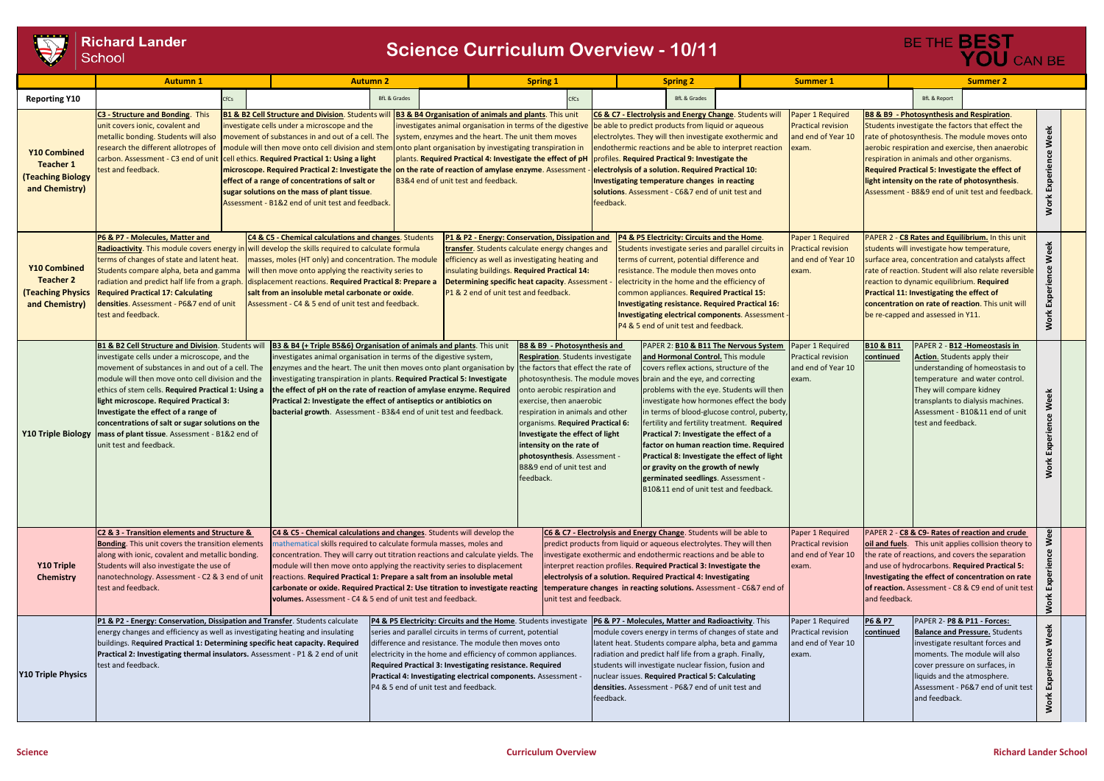

## **Richard Lander** School

|                                                                                | <b>Autumn 1</b>                                                                                                                                                                                                                                                                                                                                                                                                                                                                                    |      | <b>Autumn 2</b>                                                                                                                                                                                                                                                                                                                                                                                                                                                                                                                                                                                                 |                                       |                                                                                                                                                                                                                                                                                                                                                                                      | <b>Spring 1</b>                                                                                                                                                                                                                                                                                                                                                               |                                                                                                                                                                                                                                                                                                                                                                                                               | <b>Spring 2</b>                                                                                                                                                                                                                                                            |                                                                                                                                                                                                                                                                                                                                                                                                                                                                    | <b>Summer 1</b>                                                              |                                 | <b>Summer 2</b>                                                                                                                                                                                                                                              |                                                                                                                                                                                                                                                                                                                         |                                    |
|--------------------------------------------------------------------------------|----------------------------------------------------------------------------------------------------------------------------------------------------------------------------------------------------------------------------------------------------------------------------------------------------------------------------------------------------------------------------------------------------------------------------------------------------------------------------------------------------|------|-----------------------------------------------------------------------------------------------------------------------------------------------------------------------------------------------------------------------------------------------------------------------------------------------------------------------------------------------------------------------------------------------------------------------------------------------------------------------------------------------------------------------------------------------------------------------------------------------------------------|---------------------------------------|--------------------------------------------------------------------------------------------------------------------------------------------------------------------------------------------------------------------------------------------------------------------------------------------------------------------------------------------------------------------------------------|-------------------------------------------------------------------------------------------------------------------------------------------------------------------------------------------------------------------------------------------------------------------------------------------------------------------------------------------------------------------------------|---------------------------------------------------------------------------------------------------------------------------------------------------------------------------------------------------------------------------------------------------------------------------------------------------------------------------------------------------------------------------------------------------------------|----------------------------------------------------------------------------------------------------------------------------------------------------------------------------------------------------------------------------------------------------------------------------|--------------------------------------------------------------------------------------------------------------------------------------------------------------------------------------------------------------------------------------------------------------------------------------------------------------------------------------------------------------------------------------------------------------------------------------------------------------------|------------------------------------------------------------------------------|---------------------------------|--------------------------------------------------------------------------------------------------------------------------------------------------------------------------------------------------------------------------------------------------------------|-------------------------------------------------------------------------------------------------------------------------------------------------------------------------------------------------------------------------------------------------------------------------------------------------------------------------|------------------------------------|
| <b>Reporting Y10</b>                                                           |                                                                                                                                                                                                                                                                                                                                                                                                                                                                                                    | :fCs |                                                                                                                                                                                                                                                                                                                                                                                                                                                                                                                                                                                                                 | <b>BfL &amp; Grades</b>               |                                                                                                                                                                                                                                                                                                                                                                                      | CfCs                                                                                                                                                                                                                                                                                                                                                                          |                                                                                                                                                                                                                                                                                                                                                                                                               | <b>BfL &amp; Grades</b>                                                                                                                                                                                                                                                    |                                                                                                                                                                                                                                                                                                                                                                                                                                                                    |                                                                              |                                 | <b>BfL &amp; Report</b>                                                                                                                                                                                                                                      |                                                                                                                                                                                                                                                                                                                         |                                    |
| Y10 Combined<br><b>Teacher 1</b><br><b>Teaching Biology</b><br>and Chemistry)  | C3 - Structure and Bonding. This<br>unit covers ionic, covalent and<br>metallic bonding. Students will also<br>research the different allotropes of<br>carbon. Assessment - C3 end of unit<br>test and feedback.                                                                                                                                                                                                                                                                                   |      | <b>B1 &amp; B2 Cell Structure and Division.</b> Students wil<br>investigate cells under a microscope and the<br>movement of substances in and out of a cell. The<br>module will then move onto cell division and stem onto plant organisation by investigating transpiration in<br>cell ethics. Required Practical 1: Using a light<br>microscope. Required Practical 2: Investigate the on the rate of reaction of amylase enzyme. Assessment<br>effect of a range of concentrations of salt or<br>sugar solutions on the mass of plant tissue.<br>Assessment - B1&2 end of unit test and feedback.            |                                       | <b>B3 &amp; B4 Organisation of animals and plants.</b> This unit<br>investigates animal organisation in terms of the digestive<br>system, enzymes and the heart. The unit them moves<br>plants. Required Practical 4: Investigate the effect of pH<br>B3&4 end of unit test and feedback.                                                                                            |                                                                                                                                                                                                                                                                                                                                                                               | C6 & C7 - Electrolysis and Energy Change. Students wi<br>be able to predict products from liquid or aqueous<br>electrolytes. They will then investigate exothermic and<br>profiles. Required Practical 9: Investigate the<br>electrolysis of a solution. Required Practical 10:<br>Investigating temperature changes in reacting<br>solutions. Assessment - C6&7 end of unit test and<br>feedback.            |                                                                                                                                                                                                                                                                            | endothermic reactions and be able to interpret reaction                                                                                                                                                                                                                                                                                                                                                                                                            | Paper 1 Required<br><b>Practical revision</b><br>and end of Year 10<br>exam. |                                 | <b>B8 &amp; B9 - Photosynthesis and Respiration.</b><br>Students investigate the factors that effect the<br>respiration in animals and other organisms.<br>Required Practical 5: Investigate the effect of<br>light intensity on the rate of photosynthesis. | rate of photosynthesis. The module moves onto<br>aerobic respiration and exercise, then anaerobic<br>Assessment - B8&9 end of unit test and feedback.                                                                                                                                                                   | Week<br>Experien<br><b>Work</b>    |
| Y10 Combined<br><b>Teacher 2</b><br><b>(Teaching Physics</b><br>and Chemistry) | P6 & P7 - Molecules, Matter and<br>Radioactivity. This module covers energy in will develop the skills required to calculate formula<br>terms of changes of state and latent heat.<br>Students compare alpha, beta and gamma<br>radiation and predict half life from a graph. displacement reactions. Required Practical 8: Prepare a<br><b>Required Practical 17: Calculating</b><br>densities. Assessment - P6&7 end of unit<br>test and feedback.                                               |      | C4 & C5 - Chemical calculations and changes. Students<br>masses, moles (HT only) and concentration. The module<br>will then move onto applying the reactivity series to<br>salt from an insoluble metal carbonate or oxide.<br>Assessment - C4 & 5 end of unit test and feedback.                                                                                                                                                                                                                                                                                                                               |                                       | P1 & P2 - Energy: Conservation, Dissipation and<br>transfer. Students calculate energy changes and<br>efficiency as well as investigating heating and<br>insulating buildings. Required Practical 14:<br>Determining specific heat capacity. Assessment<br>P1 & 2 end of unit test and feedback.                                                                                     |                                                                                                                                                                                                                                                                                                                                                                               |                                                                                                                                                                                                                                                                                                                                                                                                               | P4 & P5 Electricity: Circuits and the Home.<br>terms of current, potential difference and<br>resistance. The module then moves onto<br>electricity in the home and the efficiency of<br>common appliances. Required Practical 15:<br>P4 & 5 end of unit test and feedback. | Students investigate series and parallel circuits in<br><b>Investigating resistance. Required Practical 16:</b><br><b>Investigating electrical components. Assessment</b>                                                                                                                                                                                                                                                                                          | Paper 1 Required<br><b>Practical revision</b><br>and end of Year 10<br>exam. |                                 | students will investigate how temperature,<br>reaction to dynamic equilibrium. Required<br>Practical 11: Investigating the effect of<br>be re-capped and assessed in Y11.                                                                                    | PAPER 2 - C8 Rates and Equilibrium. In this unit<br>surface area, concentration and catalysts affect<br>rate of reaction. Student will also relate reversible<br>concentration on rate of reaction. This unit will                                                                                                      | eek<br>Š<br>Experie<br><b>Work</b> |
| <b>Y10 Triple Biology</b>                                                      | <b>B1 &amp; B2 Cell Structure and Division</b> . Students will<br>investigate cells under a microscope, and the<br>movement of substances in and out of a cell. The<br>module will then move onto cell division and the<br>ethics of stem cells. Required Practical 1: Using a<br>light microscope. Required Practical 3:<br>Investigate the effect of a range of<br>concentrations of salt or sugar solutions on the<br>mass of plant tissue. Assessment - B1&2 end of<br>unit test and feedback. |      | B3 & B4 (+ Triple B5&6) Organisation of animals and plants. This unit<br>investigates animal organisation in terms of the digestive system,<br>enzymes and the heart. The unit then moves onto plant organisation by the factors that effect the rate of<br>investigating transpiration in plants. Required Practical 5: Investigate<br>the effect of pH on the rate of reaction of amylase enzyme. Required<br>Practical 2: Investigate the effect of antiseptics or antibiotics on<br>bacterial growth. Assessment - B3&4 end of unit test and feedback.                                                      |                                       | feedback.                                                                                                                                                                                                                                                                                                                                                                            | B8 & B9 - Photosynthesis and<br><b>Respiration</b> . Students investigate<br>photosynthesis. The module move:<br>onto aerobic respiration and<br>exercise, then anaerobic<br>respiration in animals and other<br>organisms. Required Practical 6:<br>Investigate the effect of light<br>intensity on the rate of<br>photosynthesis. Assessment -<br>B8&9 end of unit test and |                                                                                                                                                                                                                                                                                                                                                                                                               | and Hormonal Control. This module<br>brain and the eye, and correcting<br>or gravity on the growth of newly<br>germinated seedlings. Assessment -                                                                                                                          | PAPER 2: <b>B10 &amp; B11 The Nervous System</b><br>covers reflex actions, structure of the<br>problems with the eye. Students will then<br>investigate how hormones effect the body<br>in terms of blood-glucose control, puberty,<br>fertility and fertility treatment. Required<br>Practical 7: Investigate the effect of a<br>factor on human reaction time. Required<br>Practical 8: Investigate the effect of light<br>B10&11 end of unit test and feedback. | Paper 1 Required<br>Practical revision<br>and end of Year 10<br>exam.        | B10 & B11<br>continued          | PAPER 2 - B12 - Homeostasis in<br>Action. Students apply their<br>They will compare kidney<br>transplants to dialysis machines.<br>test and feedback.                                                                                                        | understanding of homeostasis to<br>temperature and water control.<br>Assessment - B10&11 end of unit                                                                                                                                                                                                                    | Week<br>Worl                       |
| Y10 Triple<br><b>Chemistry</b>                                                 | C2 & 3 - Transition elements and Structure &<br><b>Bonding</b> . This unit covers the transition elements<br>along with ionic, covalent and metallic bonding.<br>Students will also investigate the use of<br>nanotechnology. Assessment - C2 & 3 end of unit<br>test and feedback.                                                                                                                                                                                                                |      | C4 & C5 - Chemical calculations and changes. Students will develop the<br>mathematical skills required to calculate formula masses, moles and<br>concentration. They will carry out titration reactions and calculate yields. The<br>module will then move onto applying the reactivity series to displacement<br>reactions. Required Practical 1: Prepare a salt from an insoluble metal<br>carbonate or oxide. Required Practical 2: Use titration to investigate reacting temperature changes in reacting solutions. Assessment - C6&7 end of<br>volumes. Assessment - C4 & 5 end of unit test and feedback. |                                       |                                                                                                                                                                                                                                                                                                                                                                                      | unit test and feedback.                                                                                                                                                                                                                                                                                                                                                       | C6 & C7 - Electrolysis and Energy Change. Students will be able to<br>predict products from liquid or aqueous electrolytes. They will then<br>investigate exothermic and endothermic reactions and be able to<br>interpret reaction profiles. Required Practical 3: Investigate the<br>electrolysis of a solution. Required Practical 4: Investigating                                                        |                                                                                                                                                                                                                                                                            |                                                                                                                                                                                                                                                                                                                                                                                                                                                                    | Paper 1 Required<br>Practical revision<br>and end of Year 10<br>exam.        | and feedback.                   |                                                                                                                                                                                                                                                              | PAPER 2 - C8 & C9- Rates of reaction and crude<br>oil and fuels. This unit applies collision theory to<br>the rate of reactions, and covers the separation<br>and use of hydrocarbons. Required Practical 5:<br>Investigating the effect of concentration on rate<br>of reaction. Assessment - C8 & C9 end of unit test | $\overline{e}$<br>3<br>띳<br>Work   |
| <b>Y10 Triple Physics</b>                                                      | P1 & P2 - Energy: Conservation, Dissipation and Transfer. Students calculate<br>energy changes and efficiency as well as investigating heating and insulating<br>buildings. Required Practical 1: Determining specific heat capacity. Required<br>Practical 2: Investigating thermal insulators. Assessment - P1 & 2 end of unit<br>test and feedback.                                                                                                                                             |      |                                                                                                                                                                                                                                                                                                                                                                                                                                                                                                                                                                                                                 | P4 & 5 end of unit test and feedback. | P4 & P5 Electricity: Circuits and the Home. Students investigate<br>series and parallel circuits in terms of current, potential<br>difference and resistance. The module then moves onto<br>electricity in the home and efficiency of common appliances.<br>Required Practical 3: Investigating resistance. Required<br>Practical 4: Investigating electrical components. Assessment |                                                                                                                                                                                                                                                                                                                                                                               | P6 & P7 - Molecules, Matter and Radioactivity. This<br>module covers energy in terms of changes of state and<br>latent heat. Students compare alpha, beta and gamma<br>radiation and predict half life from a graph. Finally,<br>students will investigate nuclear fission, fusion and<br>nuclear issues. Required Practical 5: Calculating<br>densities. Assessment - P6&7 end of unit test and<br>feedback. |                                                                                                                                                                                                                                                                            |                                                                                                                                                                                                                                                                                                                                                                                                                                                                    | Paper 1 Required<br>Practical revision<br>and end of Year 10<br>exam.        | <b>P6 &amp; P7</b><br>continued | PAPER 2- P8 & P11 - Forces:<br><b>Balance and Pressure. Students</b><br>investigate resultant forces and<br>moments. The module will also<br>cover pressure on surfaces, in<br>liquids and the atmosphere.<br>and feedback.                                  | Assessment - P6&7 end of unit test                                                                                                                                                                                                                                                                                      | Week<br>Experience<br><b>Work</b>  |

# BE THE **BEST**<br>**YOU** CAN BE

## **Science Curriculum Overview - 10/11**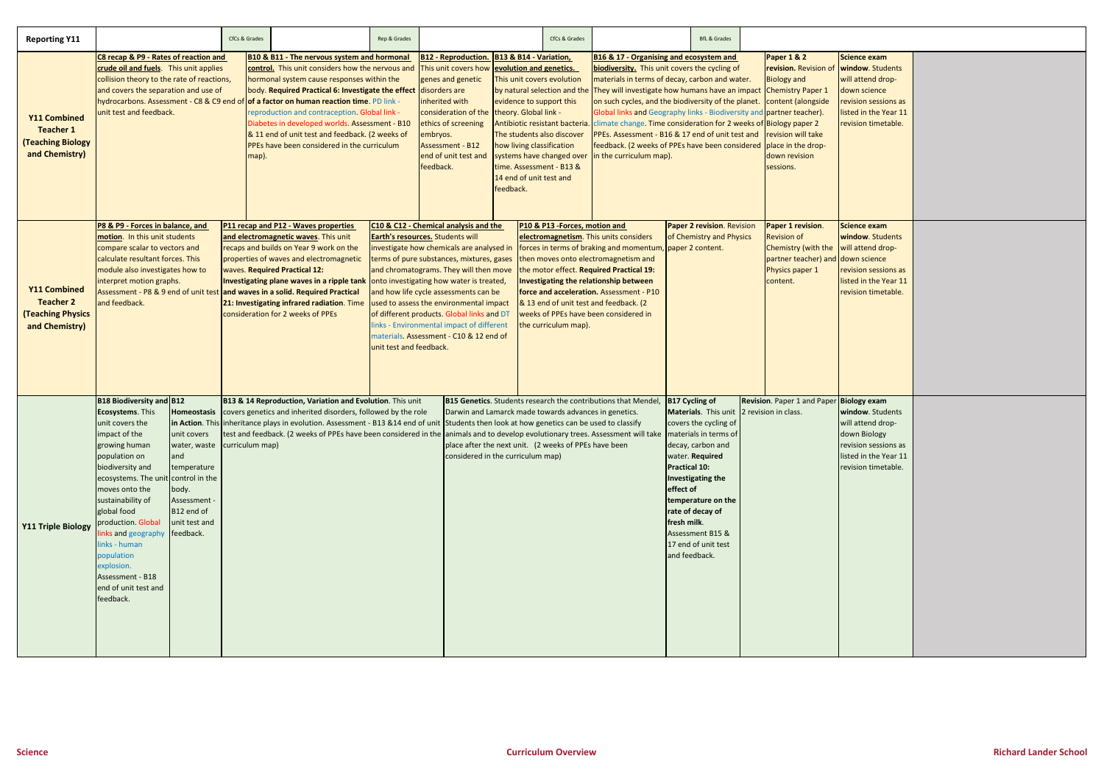| <b>Reporting Y11</b>                                                                  |                                                                                                                                                                                                                                                                                                                                                                                                       |                                                                                                                                                       | CfCs & Grades                                                                                                                                                                                                                                                                                                                                                                                                                                                                                                                  |                                                                                                                                                                                                                                                                                                                                                                                                              | Rep & Grades                                                                                                                                                                                                                                                                                                                                                                                                                                   |                                                                                                                                                                                                                                                                                                                                                                                                                            |  | CfCs & Grades                                                                                                                                                                                                                                                                                                                                                                                                                                            |                                                                       |                                                                                                                                                                                                                                                                                                          | <b>BfL &amp; Grades</b>                                                                                                                                                                                                                                                                     |                                                     |
|---------------------------------------------------------------------------------------|-------------------------------------------------------------------------------------------------------------------------------------------------------------------------------------------------------------------------------------------------------------------------------------------------------------------------------------------------------------------------------------------------------|-------------------------------------------------------------------------------------------------------------------------------------------------------|--------------------------------------------------------------------------------------------------------------------------------------------------------------------------------------------------------------------------------------------------------------------------------------------------------------------------------------------------------------------------------------------------------------------------------------------------------------------------------------------------------------------------------|--------------------------------------------------------------------------------------------------------------------------------------------------------------------------------------------------------------------------------------------------------------------------------------------------------------------------------------------------------------------------------------------------------------|------------------------------------------------------------------------------------------------------------------------------------------------------------------------------------------------------------------------------------------------------------------------------------------------------------------------------------------------------------------------------------------------------------------------------------------------|----------------------------------------------------------------------------------------------------------------------------------------------------------------------------------------------------------------------------------------------------------------------------------------------------------------------------------------------------------------------------------------------------------------------------|--|----------------------------------------------------------------------------------------------------------------------------------------------------------------------------------------------------------------------------------------------------------------------------------------------------------------------------------------------------------------------------------------------------------------------------------------------------------|-----------------------------------------------------------------------|----------------------------------------------------------------------------------------------------------------------------------------------------------------------------------------------------------------------------------------------------------------------------------------------------------|---------------------------------------------------------------------------------------------------------------------------------------------------------------------------------------------------------------------------------------------------------------------------------------------|-----------------------------------------------------|
| <b>Y11 Combined</b><br><b>Teacher 1</b><br><b>(Teaching Biology</b><br>and Chemistry) | C8 recap & P9 - Rates of reaction and<br>crude oil and fuels. This unit applies<br>collision theory to the rate of reactions,<br>and covers the separation and use of<br>unit test and feedback.                                                                                                                                                                                                      |                                                                                                                                                       | <b>B10 &amp; B11 - The nervous system and hormonal</b><br>control. This unit considers how the nervous and<br>hormonal system cause responses within the<br>body. Required Practical 6: Investigate the effect<br>hydrocarbons. Assessment - C8 & C9 end of of a factor on human reaction time. PD link -<br>reproduction and contraception. Global link -<br>Diabetes in developed worlds. Assessment - B10<br>& 11 end of unit test and feedback. (2 weeks of<br><b>PPEs have been considered in the curriculum</b><br>map). |                                                                                                                                                                                                                                                                                                                                                                                                              | <b>B12 - Reproduction.</b><br>This unit covers how<br>genes and genetic<br>disorders are<br>inherited with<br>consideration of the<br>ethics of screening<br>embryos.<br><b>Assessment - B12</b><br>end of unit test and<br>feedback.                                                                                                                                                                                                          | B13 & B14 - Variation,<br>evolution and genetics.<br>This unit covers evolution<br>by natural selection and the<br>evidence to support this<br>theory. Global link -<br>Antibiotic resistant bacteria<br>The students also discover<br>how living classification<br>systems have changed over<br>time. Assessment - B13 &<br>14 end of unit test and<br>feedback.                                                          |  | <b>B16 &amp; 17 - Organising and ecosystem and</b><br>biodiversity. This unit covers the cycling of<br>materials in terms of decay, carbon and water.<br>They will investigate how humans have an impact<br>on such cycles, and the biodiversity of the planet.<br>Global links and Geography links - Biodiversity and<br>PPEs. Assessment - B16 & 17 end of unit test and<br>feedback. (2 weeks of PPEs have been considered<br>in the curriculum map). |                                                                       |                                                                                                                                                                                                                                                                                                          | <b>Paper 1 &amp; 2</b><br>revision. Revision of<br><b>Biology and</b><br><b>Chemistry Paper 1</b><br>content (alongside<br>partner teacher).<br>climate change. Time consideration for 2 weeks of Biology paper 2<br>revision will take<br>place in the drop-<br>down revision<br>sessions. |                                                     |
| <b>Y11 Combined</b><br><b>Teacher 2</b><br><b>(Teaching Physics</b><br>and Chemistry) | P8 & P9 - Forces in balance, and<br>motion. In this unit students<br>compare scalar to vectors and<br>calculate resultant forces. This<br>module also investigates how to<br>interpret motion graphs.<br>and feedback.                                                                                                                                                                                |                                                                                                                                                       | P11 recap and P12 - Waves properties<br>and electromagnetic waves. This unit<br>recaps and builds on Year 9 work on the<br>properties of waves and electromagnetic<br><b>Waves. Required Practical 12:</b><br>Investigating plane waves in a ripple tank onto investigating how water is treated,<br>Assessment - P8 & 9 end of unit test and waves in a solid. Required Practical<br>21: Investigating infrared radiation. Time<br>consideration for 2 weeks of PPEs<br>unit test and feedback.                               |                                                                                                                                                                                                                                                                                                                                                                                                              | C10 & C12 - Chemical analysis and the<br><b>Earth's resources.</b> Students will<br>investigate how chemicals are analysed in<br>terms of pure substances, mixtures, gases<br>and chromatograms. They will then move<br>and how life cycle assessments can be<br>used to assess the environmental impact<br>of different products. Global links and DT<br>links - Environmental impact of different<br>materials. Assessment - C10 & 12 end of | P10 & P13 - Forces, motion and<br>electromagnetism. This units considers<br>forces in terms of braking and momentum, paper 2 content.<br>then moves onto electromagnetism and<br>the motor effect. Required Practical 19:<br>Investigating the relationship between<br>force and acceleration. Assessment - P10<br>& 13 end of unit test and feedback. (2<br>weeks of PPEs have been considered in<br>the curriculum map). |  | Paper 2 revision. Revision<br>of Chemistry and Physics                                                                                                                                                                                                                                                                                                                                                                                                   |                                                                       | Paper 1 revision.<br><b>Revision of</b><br>Chemistry (with the<br>partner teacher) and<br>Physics paper 1<br>content.                                                                                                                                                                                    |                                                                                                                                                                                                                                                                                             |                                                     |
| <b>Y11 Triple Biology</b>                                                             | <b>B18 Biodiversity and B12</b><br><b>Ecosystems</b> . This<br>unit covers the<br>impact of the<br>growing human<br>population on<br>biodiversity and<br>ecosystems. The unit control in the<br>moves onto the<br>sustainability of<br>global food<br>production. Global<br>links and geography<br>links - human<br>population<br>explosion.<br>Assessment - B18<br>end of unit test and<br>feedback. | Homeostasis<br>unit covers<br>water, waste curriculum map)<br>and<br>temperature<br>body.<br>Assessment -<br>B12 end of<br>unit test and<br>feedback. |                                                                                                                                                                                                                                                                                                                                                                                                                                                                                                                                | B13 & 14 Reproduction, Variation and Evolution. This unit<br>covers genetics and inherited disorders, followed by the role<br>in Action. This inheritance plays in evolution. Assessment - B13 &14 end of unit Students then look at how genetics can be used to classify<br>test and feedback. (2 weeks of PPEs have been considered in the animals and to develop evolutionary trees. Assessment will take |                                                                                                                                                                                                                                                                                                                                                                                                                                                | considered in the curriculum map)                                                                                                                                                                                                                                                                                                                                                                                          |  | Darwin and Lamarck made towards advances in genetics.<br>place after the next unit. (2 weeks of PPEs have been                                                                                                                                                                                                                                                                                                                                           | <b>B15 Genetics.</b> Students research the contributions that Mendel, | B17 Cycling of<br>Materials. This unit<br>covers the cycling of<br>materials in terms of<br>decay, carbon and<br>water. Required<br>Practical 10:<br>Investigating the<br>effect of<br>temperature on the<br>rate of decay of<br>fresh milk.<br>Assessment B15 &<br>17 end of unit test<br>and feedback. |                                                                                                                                                                                                                                                                                             | Revision. Paper 1 and Paper<br>2 revision in class. |

|                 | <b>Science exam</b>   |  |
|-----------------|-----------------------|--|
|                 | window. Students      |  |
|                 | will attend drop-     |  |
|                 | down science          |  |
|                 | revision sessions as  |  |
|                 | listed in the Year 11 |  |
|                 | revision timetable.   |  |
|                 |                       |  |
|                 |                       |  |
|                 |                       |  |
|                 |                       |  |
|                 |                       |  |
|                 |                       |  |
|                 |                       |  |
|                 |                       |  |
|                 |                       |  |
|                 | <b>Science exam</b>   |  |
|                 | window. Students      |  |
|                 | will attend drop-     |  |
| $\vert$ $\vert$ | down science          |  |
|                 | revision sessions as  |  |
|                 | listed in the Year 11 |  |
|                 | revision timetable.   |  |
|                 |                       |  |
|                 |                       |  |
|                 |                       |  |
|                 |                       |  |
|                 |                       |  |
|                 |                       |  |
|                 |                       |  |
|                 |                       |  |
|                 |                       |  |
| $\mathsf{r}$    | <b>Biology exam</b>   |  |
|                 | window. Students      |  |
|                 | will attend drop-     |  |
|                 | down Biology          |  |
|                 | revision sessions as  |  |
|                 | listed in the Year 11 |  |
|                 | revision timetable.   |  |
|                 |                       |  |
|                 |                       |  |
|                 |                       |  |
|                 |                       |  |
|                 |                       |  |
|                 |                       |  |
|                 |                       |  |
|                 |                       |  |
|                 |                       |  |
|                 |                       |  |
|                 |                       |  |
|                 |                       |  |
|                 |                       |  |
|                 |                       |  |
|                 |                       |  |
|                 |                       |  |
|                 |                       |  |

Ξ